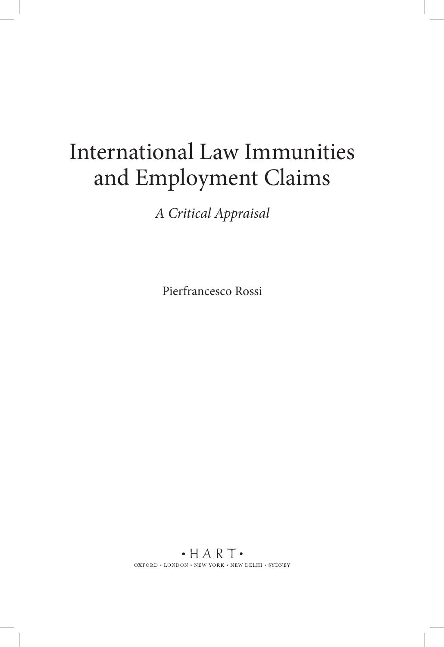# International Law Immunities and Employment Claims

*A Critical Appraisal* 

Pierfrancesco Rossi

 $\cdot$  HART $\cdot$ OXFORD  $\bullet$  LONDON  $\bullet$  NEW YORK  $\bullet$  NEW DELHI  $\bullet$  SYDNEY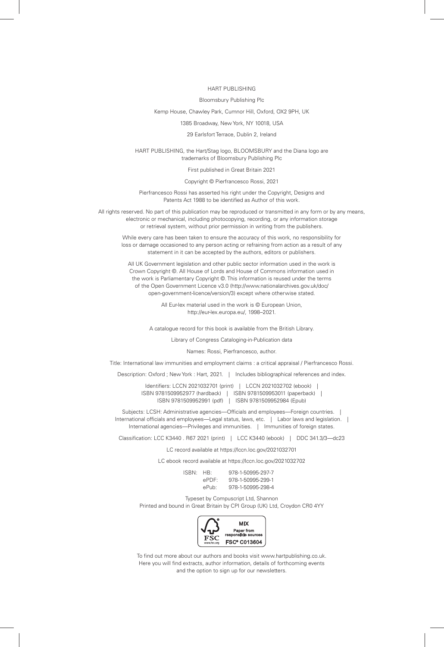#### HART PUBLISHING

#### Bloomsbury Publishing Plc

#### Kemp House, Chawley Park, Cumnor Hill, Oxford, OX2 9PH, UK

1385 Broadway, New York, NY 10018, USA

#### 29 Earlsfort Terrace, Dublin 2, Ireland

HART PUBLISHING, the Hart/Stag logo, BLOOMSBURY and the Diana logo are trademarks of Bloomsbury Publishing Plc

First published in Great Britain 2021

#### Copyright © Pierfrancesco Rossi, 2021

Pierfrancesco Rossi has asserted his right under the Copyright, Designs and Patents Act 1988 to be identified as Author of this work.

All rights reserved. No part of this publication may be reproduced or transmitted in any form or by any means, electronic or mechanical, including photocopying, recording, or any information storage or retrieval system, without prior permission in writing from the publishers.

While every care has been taken to ensure the accuracy of this work, no responsibility for loss or damage occasioned to any person acting or refraining from action as a result of any statement in it can be accepted by the authors, editors or publishers.

All UK Government legislation and other public sector information used in the work is Crown Copyright © . All House of Lords and House of Commons information used in the work is Parliamentary Copyright © . This information is reused under the terms of the Open Government Licence v3.0 ( http://www.nationalarchives.gov.uk/doc/ open-government-licence/version/3 ) except where otherwise stated.

> All Fur-lex material used in the work is © Furopean Union. http://eur-lex.europa.eu/, 1998-2021.

A catalogue record for this book is available from the British Library.

Library of Congress Cataloging-in-Publication data

Names: Rossi, Pierfrancesco, author.

Title: International law immunities and employment claims : a critical appraisal / Pierfrancesco Rossi.

Description: Oxford ; New York : Hart, 2021. | Includes bibliographical references and index.

Identifiers: LCCN 2021032701 (print) | LCCN 2021032702 (ebook) | ISBN 9781509952977 (hardback) | ISBN 9781509953011 (paperback) | ISBN 9781509952991 (pdf) | ISBN 9781509952984 (Epub)

Subjects: LCSH: Administrative agencies—Officials and employees—Foreign countries. | International officials and employees—Legal status, laws, etc. | Labor laws and legislation. | International agencies—Privileges and immunities. | Immunities of foreign states.

Classifi cation: LCC K3440 . R67 2021 (print) | LCC K3440 (ebook) | DDC 341.3/3—dc23

LC record available at https://lccn.loc.gov/2021032701

LC ebook record available at https://lccn.loc.gov/2021032702

| ISBN: | HR.   | 978-1-50995-297-7 |
|-------|-------|-------------------|
|       | ePDF: | 978-1-50995-299-1 |
|       | ePuht | 978-1-50995-298-4 |

Typeset by Compuscript Ltd, Shannon

Printed and bound in Great Britain by CPI Group (UK) Ltd, Croydon CR0 4YY



To find out more about our authors and books visit www.hartpublishing.co.uk. Here you will find extracts, author information, details of forthcoming events and the option to sign up for our newsletters.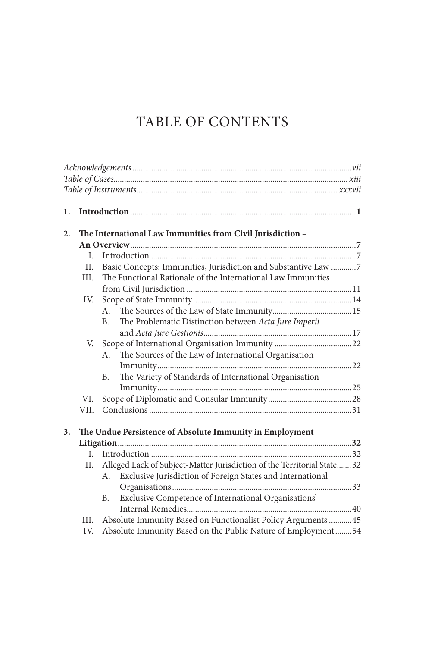## TABLE OF CONTENTS

| 1. |             |                                                                                                                                                                                                                                                     |  |
|----|-------------|-----------------------------------------------------------------------------------------------------------------------------------------------------------------------------------------------------------------------------------------------------|--|
|    |             |                                                                                                                                                                                                                                                     |  |
| 2. |             | The International Law Immunities from Civil Jurisdiction -                                                                                                                                                                                          |  |
|    |             |                                                                                                                                                                                                                                                     |  |
|    | L.          |                                                                                                                                                                                                                                                     |  |
|    | II.         | Basic Concepts: Immunities, Jurisdiction and Substantive Law 7                                                                                                                                                                                      |  |
|    | III.        | The Functional Rationale of the International Law Immunities                                                                                                                                                                                        |  |
|    |             |                                                                                                                                                                                                                                                     |  |
|    | IV.         |                                                                                                                                                                                                                                                     |  |
|    |             | $A_{-}$                                                                                                                                                                                                                                             |  |
|    |             | The Problematic Distinction between Acta Jure Imperii<br>B <sub>1</sub>                                                                                                                                                                             |  |
|    |             |                                                                                                                                                                                                                                                     |  |
|    |             |                                                                                                                                                                                                                                                     |  |
|    |             | The Sources of the Law of International Organisation<br>A.                                                                                                                                                                                          |  |
|    |             |                                                                                                                                                                                                                                                     |  |
|    |             | The Variety of Standards of International Organisation<br><b>B.</b>                                                                                                                                                                                 |  |
|    |             |                                                                                                                                                                                                                                                     |  |
|    | VI.         |                                                                                                                                                                                                                                                     |  |
|    | VII.        |                                                                                                                                                                                                                                                     |  |
|    |             |                                                                                                                                                                                                                                                     |  |
| 3. |             | The Undue Persistence of Absolute Immunity in Employment                                                                                                                                                                                            |  |
|    |             |                                                                                                                                                                                                                                                     |  |
|    | L.          |                                                                                                                                                                                                                                                     |  |
|    | Н.          | Alleged Lack of Subject-Matter Jurisdiction of the Territorial State 32                                                                                                                                                                             |  |
|    |             | A.                                                                                                                                                                                                                                                  |  |
|    |             |                                                                                                                                                                                                                                                     |  |
|    |             | <b>B.</b>                                                                                                                                                                                                                                           |  |
|    |             |                                                                                                                                                                                                                                                     |  |
|    |             |                                                                                                                                                                                                                                                     |  |
|    |             |                                                                                                                                                                                                                                                     |  |
|    | III.<br>IV. | Exclusive Jurisdiction of Foreign States and International<br>Exclusive Competence of International Organisations'<br>Absolute Immunity Based on Functionalist Policy Arguments  45<br>Absolute Immunity Based on the Public Nature of Employment54 |  |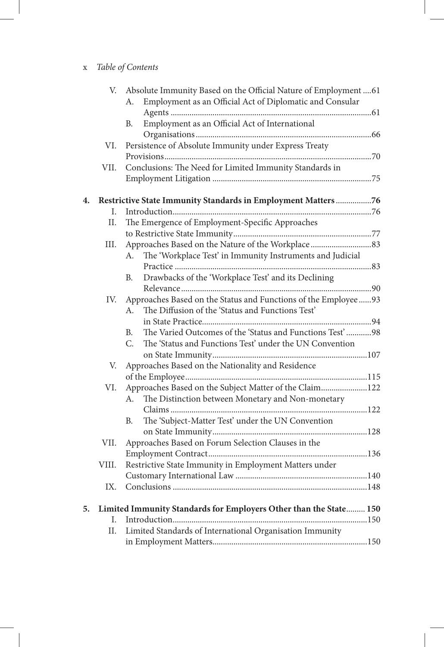### x *Table of Contents*

|    |       | V. Absolute Immunity Based on the Official Nature of Employment  61 |  |
|----|-------|---------------------------------------------------------------------|--|
|    |       | Employment as an Official Act of Diplomatic and Consular<br>А.      |  |
|    |       |                                                                     |  |
|    |       | Employment as an Official Act of International<br>В.                |  |
|    |       |                                                                     |  |
|    | VI.   | Persistence of Absolute Immunity under Express Treaty               |  |
|    |       |                                                                     |  |
|    | VII.  | Conclusions: The Need for Limited Immunity Standards in             |  |
|    |       |                                                                     |  |
|    |       |                                                                     |  |
| 4. |       | Restrictive State Immunity Standards in Employment Matters 76       |  |
|    | L.    |                                                                     |  |
|    | II.   | The Emergence of Employment-Specific Approaches                     |  |
|    |       |                                                                     |  |
|    | Ш.    |                                                                     |  |
|    |       | The 'Workplace Test' in Immunity Instruments and Judicial<br>А.     |  |
|    |       |                                                                     |  |
|    |       | Drawbacks of the 'Workplace Test' and its Declining<br>В.           |  |
|    |       |                                                                     |  |
|    | IV.   | Approaches Based on the Status and Functions of the Employee  93    |  |
|    |       | The Diffusion of the 'Status and Functions Test'<br>A.              |  |
|    |       |                                                                     |  |
|    |       | The Varied Outcomes of the 'Status and Functions Test' 98<br>B.     |  |
|    |       | C.<br>The 'Status and Functions Test' under the UN Convention       |  |
|    |       |                                                                     |  |
|    | V.    | Approaches Based on the Nationality and Residence                   |  |
|    |       |                                                                     |  |
|    | VI.   | Approaches Based on the Subject Matter of the Claim122              |  |
|    |       | The Distinction between Monetary and Non-monetary<br>А.             |  |
|    |       |                                                                     |  |
|    |       | The 'Subject-Matter Test' under the UN Convention<br>В.             |  |
|    |       |                                                                     |  |
|    | VII.  | Approaches Based on Forum Selection Clauses in the                  |  |
|    |       |                                                                     |  |
|    | VIII. | Restrictive State Immunity in Employment Matters under              |  |
|    |       |                                                                     |  |
|    | IX.   |                                                                     |  |
|    |       |                                                                     |  |
| 5. |       | Limited Immunity Standards for Employers Other than the State 150   |  |
|    | L.    |                                                                     |  |
|    | II.   | Limited Standards of International Organisation Immunity            |  |
|    |       |                                                                     |  |
|    |       |                                                                     |  |